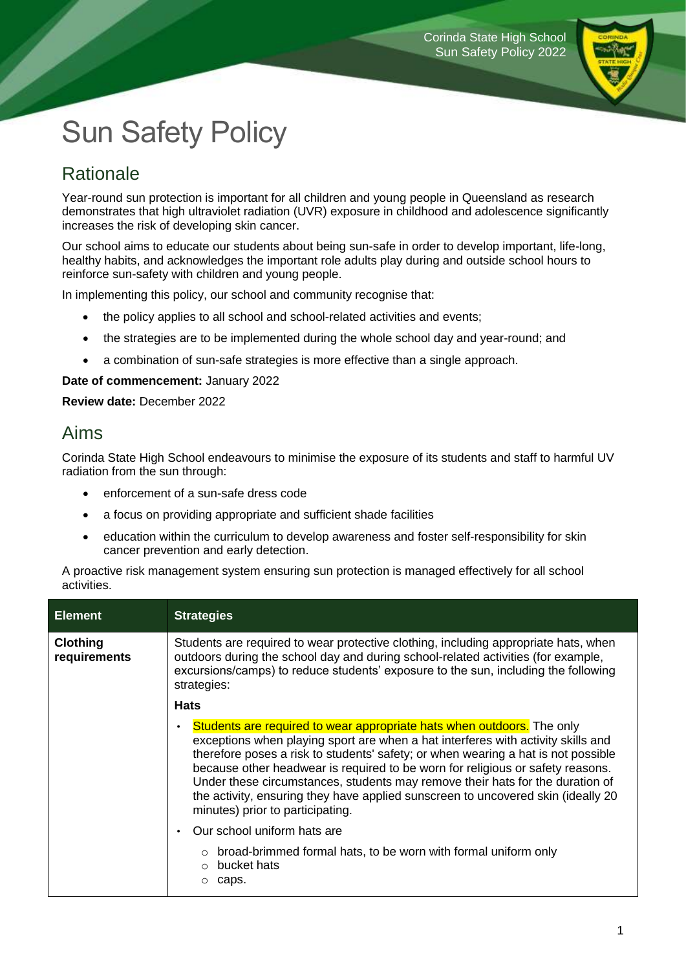

# Sun Safety Policy

## **Rationale**

Year-round sun protection is important for all children and young people in Queensland as research demonstrates that high ultraviolet radiation (UVR) exposure in childhood and adolescence significantly increases the risk of developing skin cancer.

Our school aims to educate our students about being sun-safe in order to develop important, life-long, healthy habits, and acknowledges the important role adults play during and outside school hours to reinforce sun-safety with children and young people.

In implementing this policy, our school and community recognise that:

- the policy applies to all school and school-related activities and events;
- the strategies are to be implemented during the whole school day and year-round; and
- a combination of sun-safe strategies is more effective than a single approach.

#### **Date of commencement:** January 2022

**Review date:** December 2022

#### Aims

Corinda State High School endeavours to minimise the exposure of its students and staff to harmful UV radiation from the sun through:

- enforcement of a sun-safe dress code
- a focus on providing appropriate and sufficient shade facilities
- education within the curriculum to develop awareness and foster self-responsibility for skin cancer prevention and early detection.

A proactive risk management system ensuring sun protection is managed effectively for all school activities.

| <b>Element</b>                  | <b>Strategies</b>                                                                                                                                                                                                                                                                                                                                                                                                                                                                                                                                        |
|---------------------------------|----------------------------------------------------------------------------------------------------------------------------------------------------------------------------------------------------------------------------------------------------------------------------------------------------------------------------------------------------------------------------------------------------------------------------------------------------------------------------------------------------------------------------------------------------------|
| <b>Clothing</b><br>requirements | Students are required to wear protective clothing, including appropriate hats, when<br>outdoors during the school day and during school-related activities (for example,<br>excursions/camps) to reduce students' exposure to the sun, including the following<br>strategies:                                                                                                                                                                                                                                                                            |
|                                 | <b>Hats</b>                                                                                                                                                                                                                                                                                                                                                                                                                                                                                                                                              |
|                                 | Students are required to wear appropriate hats when outdoors. The only<br>$\bullet$<br>exceptions when playing sport are when a hat interferes with activity skills and<br>therefore poses a risk to students' safety; or when wearing a hat is not possible<br>because other headwear is required to be worn for religious or safety reasons.<br>Under these circumstances, students may remove their hats for the duration of<br>the activity, ensuring they have applied sunscreen to uncovered skin (ideally 20)<br>minutes) prior to participating. |
|                                 | Our school uniform hats are                                                                                                                                                                                                                                                                                                                                                                                                                                                                                                                              |
|                                 | $\circ$ broad-brimmed formal hats, to be worn with formal uniform only<br>bucket hats<br>$\cap$<br>caps.<br>$\circ$                                                                                                                                                                                                                                                                                                                                                                                                                                      |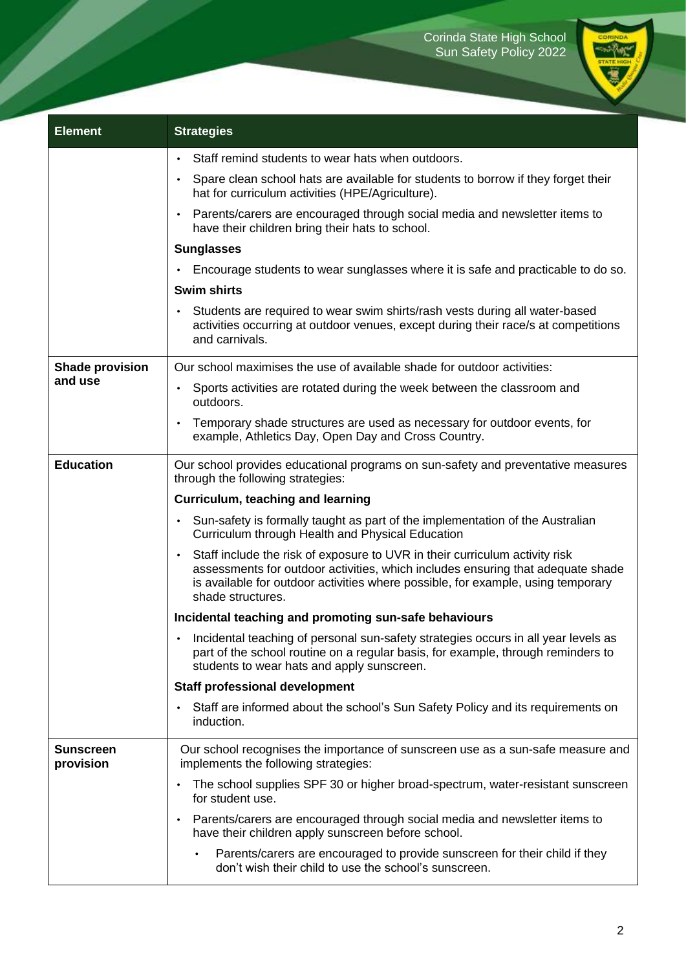

| <b>Element</b>                    | <b>Strategies</b>                                                                                                                                                                                                                                                                    |
|-----------------------------------|--------------------------------------------------------------------------------------------------------------------------------------------------------------------------------------------------------------------------------------------------------------------------------------|
|                                   | Staff remind students to wear hats when outdoors.<br>$\bullet$                                                                                                                                                                                                                       |
|                                   | Spare clean school hats are available for students to borrow if they forget their<br>$\bullet$<br>hat for curriculum activities (HPE/Agriculture).                                                                                                                                   |
|                                   | • Parents/carers are encouraged through social media and newsletter items to<br>have their children bring their hats to school.                                                                                                                                                      |
|                                   | <b>Sunglasses</b>                                                                                                                                                                                                                                                                    |
|                                   | Encourage students to wear sunglasses where it is safe and practicable to do so.<br>$\bullet$                                                                                                                                                                                        |
|                                   | <b>Swim shirts</b>                                                                                                                                                                                                                                                                   |
|                                   | Students are required to wear swim shirts/rash vests during all water-based<br>$\bullet$<br>activities occurring at outdoor venues, except during their race/s at competitions<br>and carnivals.                                                                                     |
| <b>Shade provision</b><br>and use | Our school maximises the use of available shade for outdoor activities:                                                                                                                                                                                                              |
|                                   | Sports activities are rotated during the week between the classroom and<br>$\bullet$<br>outdoors.                                                                                                                                                                                    |
|                                   | Temporary shade structures are used as necessary for outdoor events, for<br>$\bullet$<br>example, Athletics Day, Open Day and Cross Country.                                                                                                                                         |
| <b>Education</b>                  | Our school provides educational programs on sun-safety and preventative measures<br>through the following strategies:                                                                                                                                                                |
|                                   | Curriculum, teaching and learning                                                                                                                                                                                                                                                    |
|                                   | Sun-safety is formally taught as part of the implementation of the Australian<br>$\bullet$<br>Curriculum through Health and Physical Education                                                                                                                                       |
|                                   | Staff include the risk of exposure to UVR in their curriculum activity risk<br>$\bullet$<br>assessments for outdoor activities, which includes ensuring that adequate shade<br>is available for outdoor activities where possible, for example, using temporary<br>shade structures. |
|                                   | Incidental teaching and promoting sun-safe behaviours                                                                                                                                                                                                                                |
|                                   | Incidental teaching of personal sun-safety strategies occurs in all year levels as<br>part of the school routine on a regular basis, for example, through reminders to<br>students to wear hats and apply sunscreen.                                                                 |
|                                   | <b>Staff professional development</b>                                                                                                                                                                                                                                                |
|                                   | Staff are informed about the school's Sun Safety Policy and its requirements on<br>$\bullet$<br>induction.                                                                                                                                                                           |
| <b>Sunscreen</b><br>provision     | Our school recognises the importance of sunscreen use as a sun-safe measure and<br>implements the following strategies:                                                                                                                                                              |
|                                   | The school supplies SPF 30 or higher broad-spectrum, water-resistant sunscreen<br>$\bullet$<br>for student use.                                                                                                                                                                      |
|                                   | Parents/carers are encouraged through social media and newsletter items to<br>$\bullet$<br>have their children apply sunscreen before school.                                                                                                                                        |
|                                   | Parents/carers are encouraged to provide sunscreen for their child if they<br>don't wish their child to use the school's sunscreen.                                                                                                                                                  |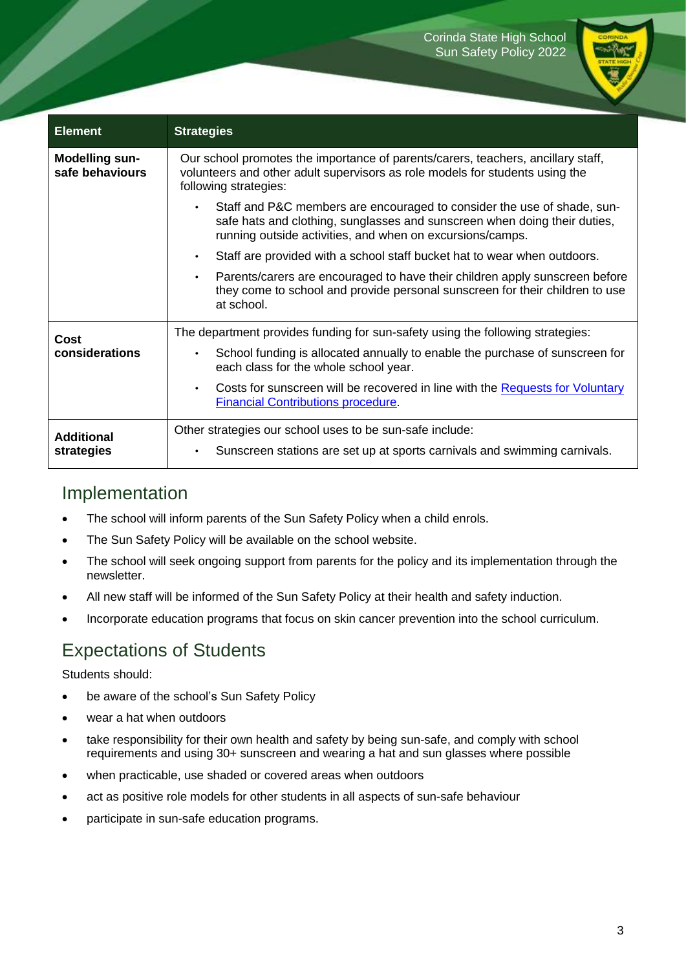

| <b>Element</b>                           | <b>Strategies</b>                                                                                                                                                                                                 |
|------------------------------------------|-------------------------------------------------------------------------------------------------------------------------------------------------------------------------------------------------------------------|
| <b>Modelling sun-</b><br>safe behaviours | Our school promotes the importance of parents/carers, teachers, ancillary staff,<br>volunteers and other adult supervisors as role models for students using the<br>following strategies:                         |
|                                          | Staff and P&C members are encouraged to consider the use of shade, sun-<br>safe hats and clothing, sunglasses and sunscreen when doing their duties,<br>running outside activities, and when on excursions/camps. |
|                                          | Staff are provided with a school staff bucket hat to wear when outdoors.<br>$\bullet$                                                                                                                             |
|                                          | Parents/carers are encouraged to have their children apply sunscreen before<br>$\bullet$<br>they come to school and provide personal sunscreen for their children to use<br>at school.                            |
| Cost<br>considerations                   | The department provides funding for sun-safety using the following strategies:                                                                                                                                    |
|                                          | School funding is allocated annually to enable the purchase of sunscreen for<br>$\bullet$<br>each class for the whole school year.                                                                                |
|                                          | Costs for sunscreen will be recovered in line with the Requests for Voluntary<br><b>Financial Contributions procedure.</b>                                                                                        |
| <b>Additional</b><br>strategies          | Other strategies our school uses to be sun-safe include:                                                                                                                                                          |
|                                          | Sunscreen stations are set up at sports carnivals and swimming carnivals.                                                                                                                                         |

### Implementation

- The school will inform parents of the Sun Safety Policy when a child enrols.
- The Sun Safety Policy will be available on the school website.
- The school will seek ongoing support from parents for the policy and its implementation through the newsletter.
- All new staff will be informed of the Sun Safety Policy at their health and safety induction.
- Incorporate education programs that focus on skin cancer prevention into the school curriculum.

## Expectations of Students

Students should:

- be aware of the school's Sun Safety Policy
- wear a hat when outdoors
- take responsibility for their own health and safety by being sun-safe, and comply with school requirements and using 30+ sunscreen and wearing a hat and sun glasses where possible
- when practicable, use shaded or covered areas when outdoors
- act as positive role models for other students in all aspects of sun-safe behaviour
- participate in sun-safe education programs.